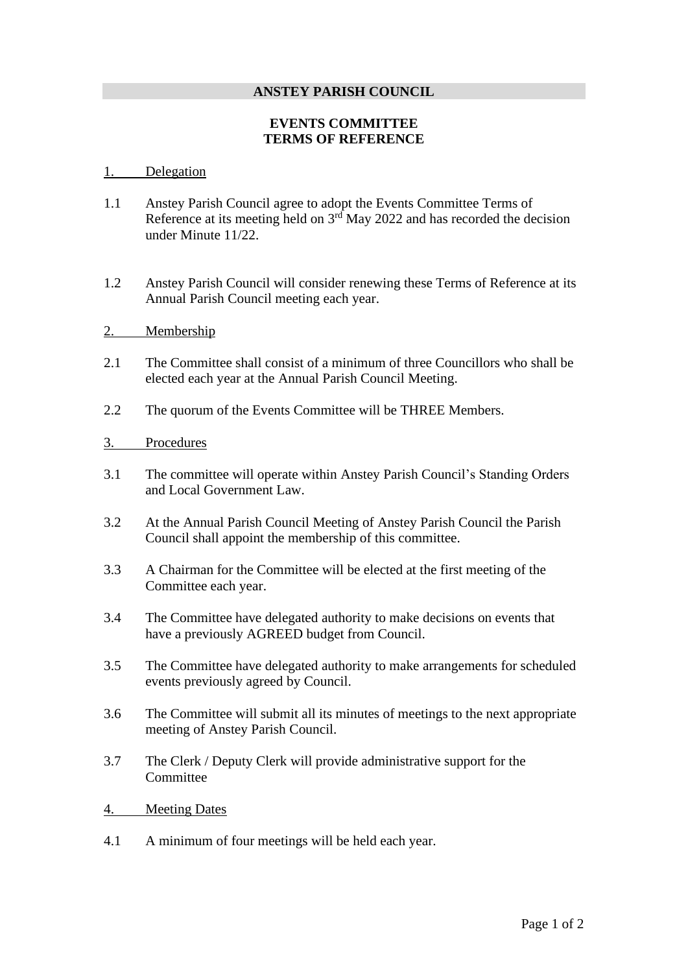## **ANSTEY PARISH COUNCIL**

## **EVENTS COMMITTEE TERMS OF REFERENCE**

## 1. Delegation

- 1.1 Anstey Parish Council agree to adopt the Events Committee Terms of Reference at its meeting held on  $3<sup>rd</sup>$  May 2022 and has recorded the decision under Minute 11/22.
- 1.2 Anstey Parish Council will consider renewing these Terms of Reference at its Annual Parish Council meeting each year.
- 2. Membership
- 2.1 The Committee shall consist of a minimum of three Councillors who shall be elected each year at the Annual Parish Council Meeting.
- 2.2 The quorum of the Events Committee will be THREE Members.

## 3. Procedures

- 3.1 The committee will operate within Anstey Parish Council's Standing Orders and Local Government Law.
- 3.2 At the Annual Parish Council Meeting of Anstey Parish Council the Parish Council shall appoint the membership of this committee.
- 3.3 A Chairman for the Committee will be elected at the first meeting of the Committee each year.
- 3.4 The Committee have delegated authority to make decisions on events that have a previously AGREED budget from Council.
- 3.5 The Committee have delegated authority to make arrangements for scheduled events previously agreed by Council.
- 3.6 The Committee will submit all its minutes of meetings to the next appropriate meeting of Anstey Parish Council.
- 3.7 The Clerk / Deputy Clerk will provide administrative support for the Committee
- 4. Meeting Dates
- 4.1 A minimum of four meetings will be held each year.